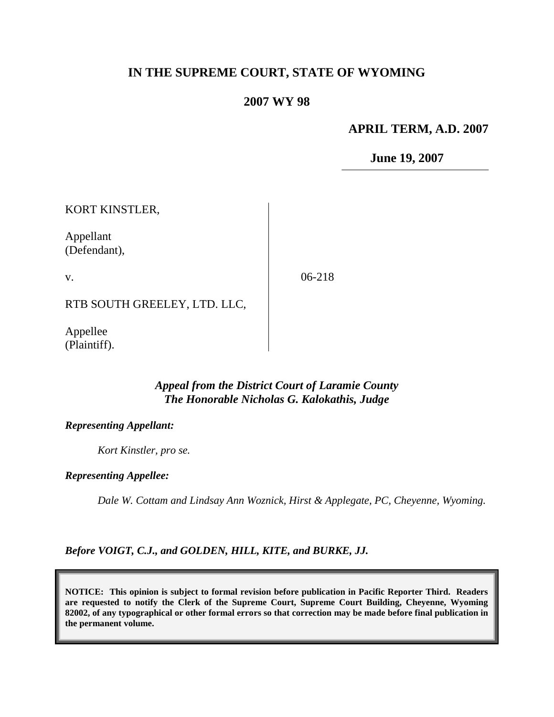## **IN THE SUPREME COURT, STATE OF WYOMING**

### **2007 WY 98**

### **APRIL TERM, A.D. 2007**

**June 19, 2007**

KORT KINSTLER,

Appellant (Defendant),

v.

06-218

RTB SOUTH GREELEY, LTD. LLC,

Appellee (Plaintiff).

### *Appeal from the District Court of Laramie County The Honorable Nicholas G. Kalokathis, Judge*

#### *Representing Appellant:*

*Kort Kinstler, pro se.*

#### *Representing Appellee:*

*Dale W. Cottam and Lindsay Ann Woznick, Hirst & Applegate, PC, Cheyenne, Wyoming.*

*Before VOIGT, C.J., and GOLDEN, HILL, KITE, and BURKE, JJ.*

**NOTICE: This opinion is subject to formal revision before publication in Pacific Reporter Third. Readers are requested to notify the Clerk of the Supreme Court, Supreme Court Building, Cheyenne, Wyoming 82002, of any typographical or other formal errors so that correction may be made before final publication in the permanent volume.**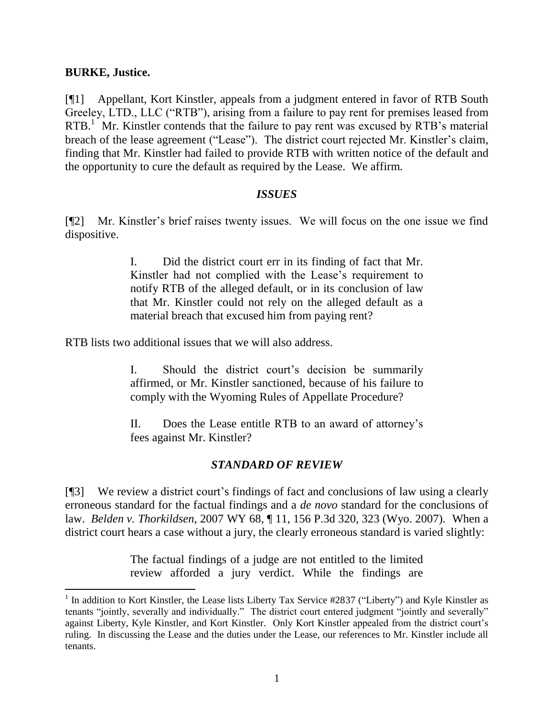### **BURKE, Justice.**

 $\overline{a}$ 

[¶1] Appellant, Kort Kinstler, appeals from a judgment entered in favor of RTB South Greeley, LTD., LLC ("RTB"), arising from a failure to pay rent for premises leased from RTB.<sup>1</sup> Mr. Kinstler contends that the failure to pay rent was excused by RTB's material breach of the lease agreement ("Lease"). The district court rejected Mr. Kinstler's claim, finding that Mr. Kinstler had failed to provide RTB with written notice of the default and the opportunity to cure the default as required by the Lease. We affirm.

### *ISSUES*

[¶2] Mr. Kinstler's brief raises twenty issues. We will focus on the one issue we find dispositive.

> I. Did the district court err in its finding of fact that Mr. Kinstler had not complied with the Lease's requirement to notify RTB of the alleged default, or in its conclusion of law that Mr. Kinstler could not rely on the alleged default as a material breach that excused him from paying rent?

RTB lists two additional issues that we will also address.

I. Should the district court's decision be summarily affirmed, or Mr. Kinstler sanctioned, because of his failure to comply with the Wyoming Rules of Appellate Procedure?

II. Does the Lease entitle RTB to an award of attorney's fees against Mr. Kinstler?

## *STANDARD OF REVIEW*

[¶3] We review a district court's findings of fact and conclusions of law using a clearly erroneous standard for the factual findings and a *de novo* standard for the conclusions of law. *Belden v. Thorkildsen*, 2007 WY 68, ¶ 11, 156 P.3d 320, 323 (Wyo. 2007). When a district court hears a case without a jury, the clearly erroneous standard is varied slightly:

> The factual findings of a judge are not entitled to the limited review afforded a jury verdict. While the findings are

<sup>&</sup>lt;sup>1</sup> In addition to Kort Kinstler, the Lease lists Liberty Tax Service #2837 ("Liberty") and Kyle Kinstler as tenants "jointly, severally and individually." The district court entered judgment "jointly and severally" against Liberty, Kyle Kinstler, and Kort Kinstler. Only Kort Kinstler appealed from the district court's ruling. In discussing the Lease and the duties under the Lease, our references to Mr. Kinstler include all tenants.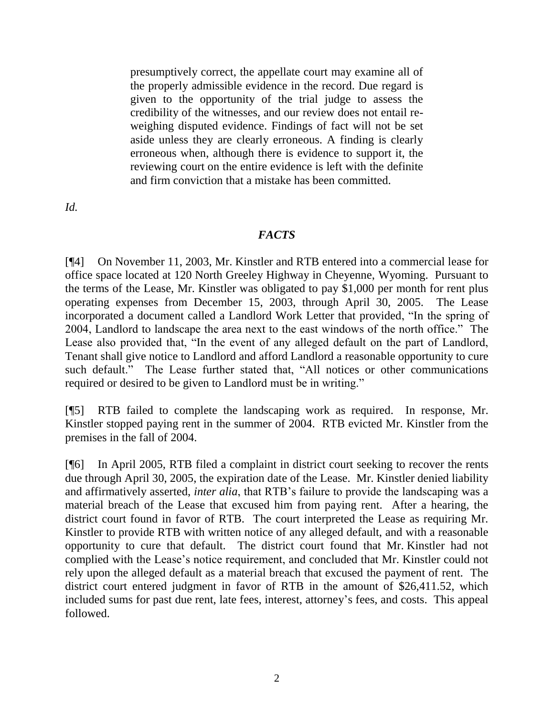presumptively correct, the appellate court may examine all of the properly admissible evidence in the record. Due regard is given to the opportunity of the trial judge to assess the credibility of the witnesses, and our review does not entail reweighing disputed evidence. Findings of fact will not be set aside unless they are clearly erroneous. A finding is clearly erroneous when, although there is evidence to support it, the reviewing court on the entire evidence is left with the definite and firm conviction that a mistake has been committed.

*Id.* 

## *FACTS*

[¶4] On November 11, 2003, Mr. Kinstler and RTB entered into a commercial lease for office space located at 120 North Greeley Highway in Cheyenne, Wyoming. Pursuant to the terms of the Lease, Mr. Kinstler was obligated to pay \$1,000 per month for rent plus operating expenses from December 15, 2003, through April 30, 2005. The Lease incorporated a document called a Landlord Work Letter that provided, "In the spring of 2004, Landlord to landscape the area next to the east windows of the north office." The Lease also provided that, "In the event of any alleged default on the part of Landlord, Tenant shall give notice to Landlord and afford Landlord a reasonable opportunity to cure such default." The Lease further stated that, "All notices or other communications required or desired to be given to Landlord must be in writing."

[¶5] RTB failed to complete the landscaping work as required. In response, Mr. Kinstler stopped paying rent in the summer of 2004. RTB evicted Mr. Kinstler from the premises in the fall of 2004.

[¶6] In April 2005, RTB filed a complaint in district court seeking to recover the rents due through April 30, 2005, the expiration date of the Lease. Mr. Kinstler denied liability and affirmatively asserted, *inter alia*, that RTB's failure to provide the landscaping was a material breach of the Lease that excused him from paying rent. After a hearing, the district court found in favor of RTB. The court interpreted the Lease as requiring Mr. Kinstler to provide RTB with written notice of any alleged default, and with a reasonable opportunity to cure that default. The district court found that Mr. Kinstler had not complied with the Lease's notice requirement, and concluded that Mr. Kinstler could not rely upon the alleged default as a material breach that excused the payment of rent. The district court entered judgment in favor of RTB in the amount of \$26,411.52, which included sums for past due rent, late fees, interest, attorney's fees, and costs. This appeal followed.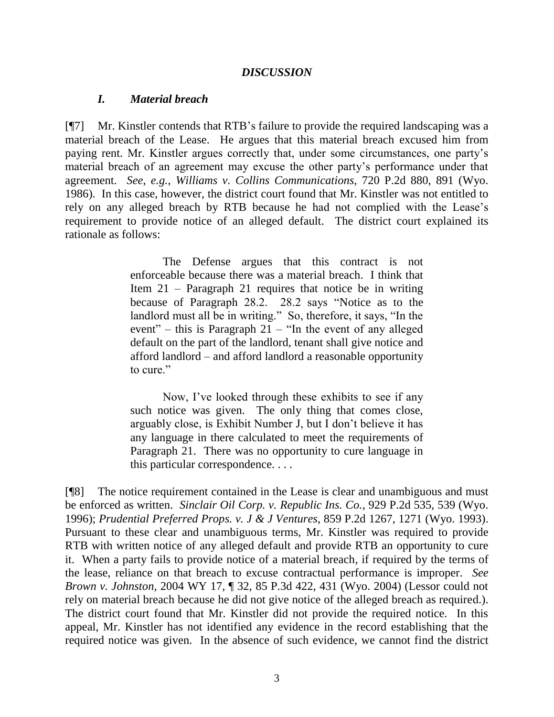### *DISCUSSION*

#### *I. Material breach*

[¶7] Mr. Kinstler contends that RTB's failure to provide the required landscaping was a material breach of the Lease. He argues that this material breach excused him from paying rent. Mr. Kinstler argues correctly that, under some circumstances, one party's material breach of an agreement may excuse the other party's performance under that agreement. *See*, *e.g.*, *Williams v. Collins Communications*, 720 P.2d 880, 891 (Wyo. 1986). In this case, however, the district court found that Mr. Kinstler was not entitled to rely on any alleged breach by RTB because he had not complied with the Lease's requirement to provide notice of an alleged default. The district court explained its rationale as follows:

> The Defense argues that this contract is not enforceable because there was a material breach. I think that Item 21 – Paragraph 21 requires that notice be in writing because of Paragraph 28.2. 28.2 says "Notice as to the landlord must all be in writing." So, therefore, it says, "In the event" – this is Paragraph  $21$  – "In the event of any alleged default on the part of the landlord, tenant shall give notice and afford landlord – and afford landlord a reasonable opportunity to cure."

> Now, I've looked through these exhibits to see if any such notice was given. The only thing that comes close, arguably close, is Exhibit Number J, but I don't believe it has any language in there calculated to meet the requirements of Paragraph 21. There was no opportunity to cure language in this particular correspondence. . . .

[¶8] The notice requirement contained in the Lease is clear and unambiguous and must be enforced as written. *[Sinclair Oil Corp. v. Republic Ins. Co.](http://www.lexis.com/research/buttonTFLink?_m=eca048a292a030451e151a618c40825c&_xfercite=%3ccite%20cc%3d%22USA%22%3e%3c%21%5bCDATA%5b2006%20WY%20111%5d%5d%3e%3c%2fcite%3e&_butType=3&_butStat=2&_butNum=66&_butInline=1&_butinfo=%3ccite%20cc%3d%22USA%22%3e%3c%21%5bCDATA%5b929%20P.2d%20535%2c%20539%5d%5d%3e%3c%2fcite%3e&_fmtstr=FULL&docnum=1&_startdoc=1&wchp=dGLbVtb-zSkAz&_md5=5676c0c45eb617a25d56054800516b80)*, 929 P.2d 535, 539 (Wyo. [1996\);](http://www.lexis.com/research/buttonTFLink?_m=eca048a292a030451e151a618c40825c&_xfercite=%3ccite%20cc%3d%22USA%22%3e%3c%21%5bCDATA%5b2006%20WY%20111%5d%5d%3e%3c%2fcite%3e&_butType=3&_butStat=2&_butNum=66&_butInline=1&_butinfo=%3ccite%20cc%3d%22USA%22%3e%3c%21%5bCDATA%5b929%20P.2d%20535%2c%20539%5d%5d%3e%3c%2fcite%3e&_fmtstr=FULL&docnum=1&_startdoc=1&wchp=dGLbVtb-zSkAz&_md5=5676c0c45eb617a25d56054800516b80) *[Prudential Preferred Props.](http://www.lexis.com/research/buttonTFLink?_m=eca048a292a030451e151a618c40825c&_xfercite=%3ccite%20cc%3d%22USA%22%3e%3c%21%5bCDATA%5b2006%20WY%20111%5d%5d%3e%3c%2fcite%3e&_butType=3&_butStat=2&_butNum=67&_butInline=1&_butinfo=%3ccite%20cc%3d%22USA%22%3e%3c%21%5bCDATA%5b859%20P.2d%201267%2c%201271%5d%5d%3e%3c%2fcite%3e&_fmtstr=FULL&docnum=1&_startdoc=1&wchp=dGLbVtb-zSkAz&_md5=4b3d286c82acd2b4b526501179a17c7c) v. J & J Ventures*, 859 P.2d 1267, 1271 (Wyo. 1993). Pursuant to these clear and unambiguous terms, Mr. Kinstler was required to provide RTB with written notice of any alleged default and provide RTB an opportunity to cure it. When a party fails to provide notice of a material breach, if required by the terms of the lease, reliance on that breach to excuse contractual performance is improper. *See Brown v. Johnston*, 2004 WY 17, ¶ 32, 85 P.3d 422, 431 (Wyo. 2004) (Lessor could not rely on material breach because he did not give notice of the alleged breach as required.). The district court found that Mr. Kinstler did not provide the required notice. In this appeal, Mr. Kinstler has not identified any evidence in the record establishing that the required notice was given. In the absence of such evidence, we cannot find the district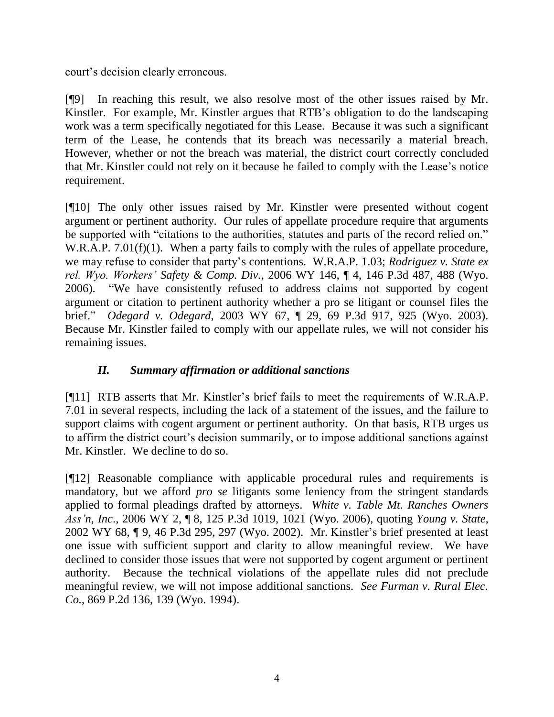court's decision clearly erroneous.

[¶9] In reaching this result, we also resolve most of the other issues raised by Mr. Kinstler. For example, Mr. Kinstler argues that RTB's obligation to do the landscaping work was a term specifically negotiated for this Lease. Because it was such a significant term of the Lease, he contends that its breach was necessarily a material breach. However, whether or not the breach was material, the district court correctly concluded that Mr. Kinstler could not rely on it because he failed to comply with the Lease's notice requirement.

[¶10] The only other issues raised by Mr. Kinstler were presented without cogent argument or pertinent authority. Our rules of appellate procedure require that arguments be supported with "citations to the authorities, statutes and parts of the record relied on." W.R.A.P. 7.01(f)(1). When a party fails to comply with the rules of appellate procedure, we may refuse to consider that party's contentions. W.R.A.P. 1.03; *Rodriguez v. State ex rel. Wyo. Workers' Safety & Comp. Div.*, 2006 WY 146, ¶ 4, 146 P.3d 487, 488 (Wyo. 2006). "We have consistently refused to address claims not supported by cogent argument or citation to pertinent authority whether a pro se litigant or counsel files the brief." *Odegard v. Odegard*, 2003 WY 67, ¶ 29, 69 P.3d 917, 925 (Wyo. 2003). Because Mr. Kinstler failed to comply with our appellate rules, we will not consider his remaining issues.

# *II. Summary affirmation or additional sanctions*

[¶11] RTB asserts that Mr. Kinstler's brief fails to meet the requirements of W.R.A.P. 7.01 in several respects, including the lack of a statement of the issues, and the failure to support claims with cogent argument or pertinent authority. On that basis, RTB urges us to affirm the district court's decision summarily, or to impose additional sanctions against Mr. Kinstler. We decline to do so.

[¶12] Reasonable compliance with applicable procedural rules and requirements is mandatory, but we afford *pro se* litigants some leniency from the stringent standards applied to formal pleadings drafted by attorneys. *White v. Table Mt. Ranches Owners Ass'n, Inc*., 2006 WY 2, ¶ 8, 125 P.3d 1019, 1021 (Wyo. 2006), quoting *Young v. State*, 2002 WY 68, ¶ 9, 46 P.3d 295, 297 (Wyo. 2002). Mr. Kinstler's brief presented at least one issue with sufficient support and clarity to allow meaningful review. We have declined to consider those issues that were not supported by cogent argument or pertinent authority. Because the technical violations of the appellate rules did not preclude meaningful review, we will not impose additional sanctions. *See Furman v. Rural Elec. Co.*, 869 P.2d 136, 139 (Wyo. 1994).